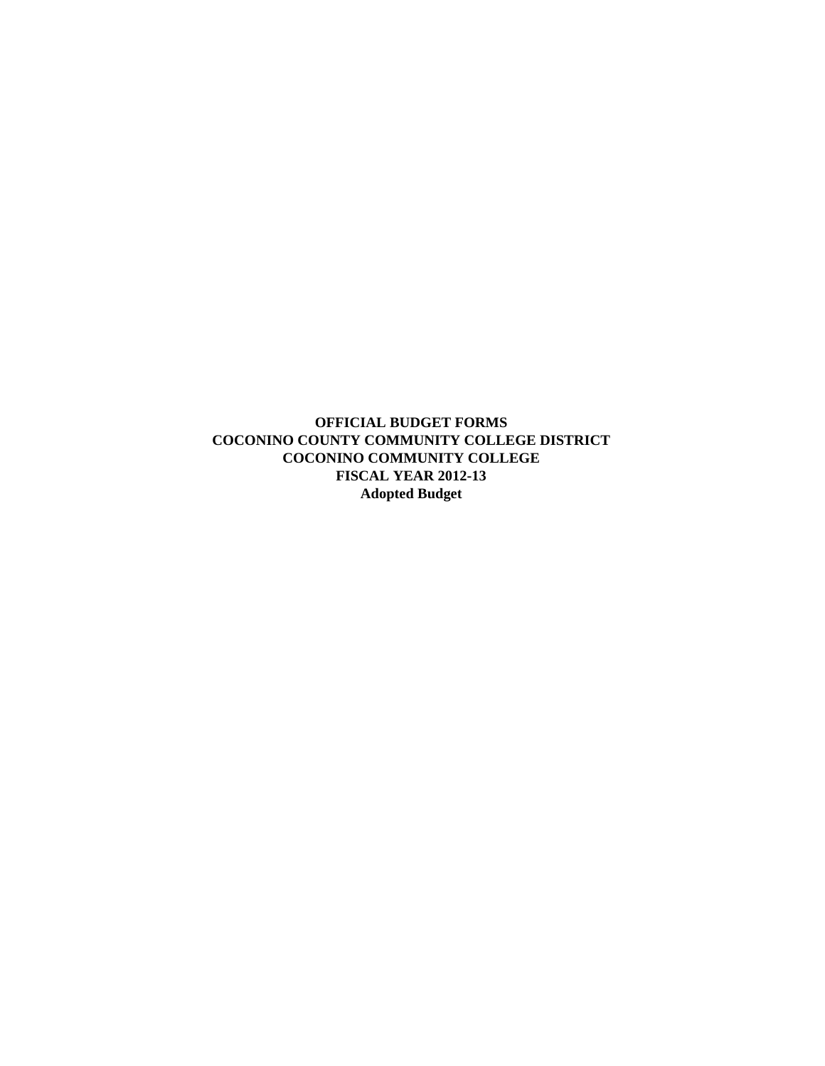**OFFICIAL BUDGET FORMS COCONINO COUNTY COMMUNITY COLLEGE DISTRICT COCONINO COMMUNITY COLLEGE FISCAL YEAR 2012-13 Adopted Budget**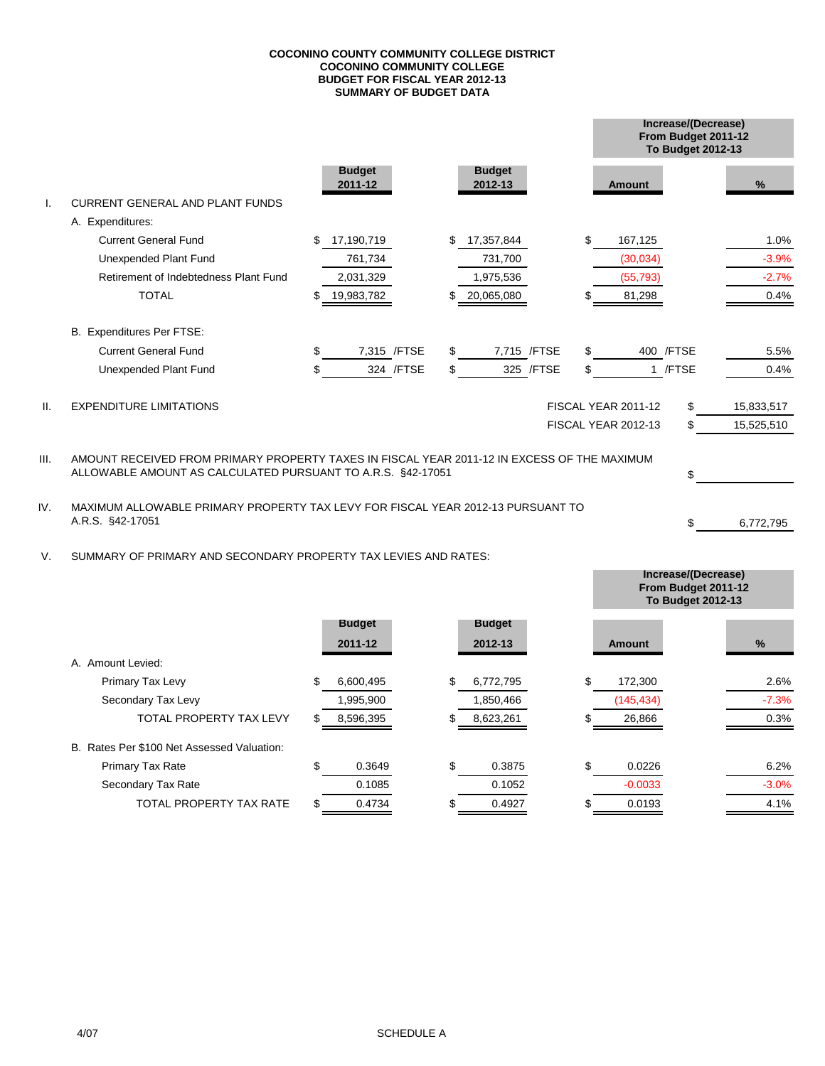### **SUMMARY OF BUDGET DATA COCONINO COUNTY COMMUNITY COLLEGE DISTRICT COCONINO COMMUNITY COLLEGE BUDGET FOR FISCAL YEAR 2012-13**

|         |                                                                                                                                                            |    |                          |                          |            |                     |            | Increase/(Decrease)<br>From Budget 2011-12<br>To Budget 2012-13 |            |  |
|---------|------------------------------------------------------------------------------------------------------------------------------------------------------------|----|--------------------------|--------------------------|------------|---------------------|------------|-----------------------------------------------------------------|------------|--|
|         |                                                                                                                                                            |    | <b>Budget</b><br>2011-12 | <b>Budget</b><br>2012-13 |            | <b>Amount</b>       |            |                                                                 | %          |  |
|         | <b>CURRENT GENERAL AND PLANT FUNDS</b>                                                                                                                     |    |                          |                          |            |                     |            |                                                                 |            |  |
|         | A. Expenditures:                                                                                                                                           |    |                          |                          |            |                     |            |                                                                 |            |  |
|         | <b>Current General Fund</b>                                                                                                                                | \$ | 17,190,719               | \$<br>17,357,844         |            | \$<br>167,125       |            |                                                                 | 1.0%       |  |
|         | Unexpended Plant Fund                                                                                                                                      |    | 761,734                  | 731,700                  |            | (30,034)            |            |                                                                 | $-3.9%$    |  |
|         | Retirement of Indebtedness Plant Fund                                                                                                                      |    | 2,031,329                | 1,975,536                |            | (55, 793)           |            |                                                                 | $-2.7%$    |  |
|         | <b>TOTAL</b>                                                                                                                                               | S  | 19,983,782               | 20,065,080               |            | 81,298              |            |                                                                 | 0.4%       |  |
|         | B. Expenditures Per FTSE:                                                                                                                                  |    |                          |                          |            |                     |            |                                                                 |            |  |
|         | <b>Current General Fund</b>                                                                                                                                | \$ | 7,315 / FTSE             | \$<br>7,715 / FTSE       |            | \$                  | 400 / FTSE |                                                                 | 5.5%       |  |
|         | Unexpended Plant Fund                                                                                                                                      | \$ | 324 / FTSE               | \$                       | 325 / FTSE | \$                  | 1 /FTSE    |                                                                 | 0.4%       |  |
| $\Pi$ . | <b>EXPENDITURE LIMITATIONS</b>                                                                                                                             |    |                          |                          |            | FISCAL YEAR 2011-12 | \$         |                                                                 | 15,833,517 |  |
|         |                                                                                                                                                            |    |                          |                          |            | FISCAL YEAR 2012-13 | \$         |                                                                 | 15,525,510 |  |
| III.    | AMOUNT RECEIVED FROM PRIMARY PROPERTY TAXES IN FISCAL YEAR 2011-12 IN EXCESS OF THE MAXIMUM<br>ALLOWABLE AMOUNT AS CALCULATED PURSUANT TO A.R.S. §42-17051 |    |                          |                          |            |                     | \$.        |                                                                 |            |  |

IV. MAXIMUM ALLOWABLE PRIMARY PROPERTY TAX LEVY FOR FISCAL YEAR 2012-13 PURSUANT TO A.R.S. §42-17051

V. SUMMARY OF PRIMARY AND SECONDARY PROPERTY TAX LEVIES AND RATES:

|                                            |   |               |                 |     |            | From Budget 2011-12<br><b>To Budget 2012-13</b> |
|--------------------------------------------|---|---------------|-----------------|-----|------------|-------------------------------------------------|
|                                            |   | <b>Budget</b> | <b>Budget</b>   |     |            |                                                 |
|                                            |   | 2011-12       | 2012-13         |     | Amount     | $\%$                                            |
| A. Amount Levied:                          |   |               |                 |     |            |                                                 |
| Primary Tax Levy                           |   | 6,600,495     | \$<br>6,772,795 | \$  | 172,300    | 2.6%                                            |
| Secondary Tax Levy                         |   | 1,995,900     | 1,850,466       |     | (145, 434) | $-7.3%$                                         |
| <b>TOTAL PROPERTY TAX LEVY</b>             | S | 8,596,395     | 8,623,261       |     | 26,866     | 0.3%                                            |
| B. Rates Per \$100 Net Assessed Valuation: |   |               |                 |     |            |                                                 |
| <b>Primary Tax Rate</b>                    |   | 0.3649        | \$<br>0.3875    | \$. | 0.0226     | 6.2%                                            |
| Secondary Tax Rate                         |   | 0.1085        | 0.1052          |     | $-0.0033$  | $-3.0%$                                         |
| TOTAL PROPERTY TAX RATE                    |   | 0.4734        | 0.4927          |     | 0.0193     | 4.1%                                            |

 $$\mathbb{S}$$ 

6,772,795

**Increase/(Decrease)**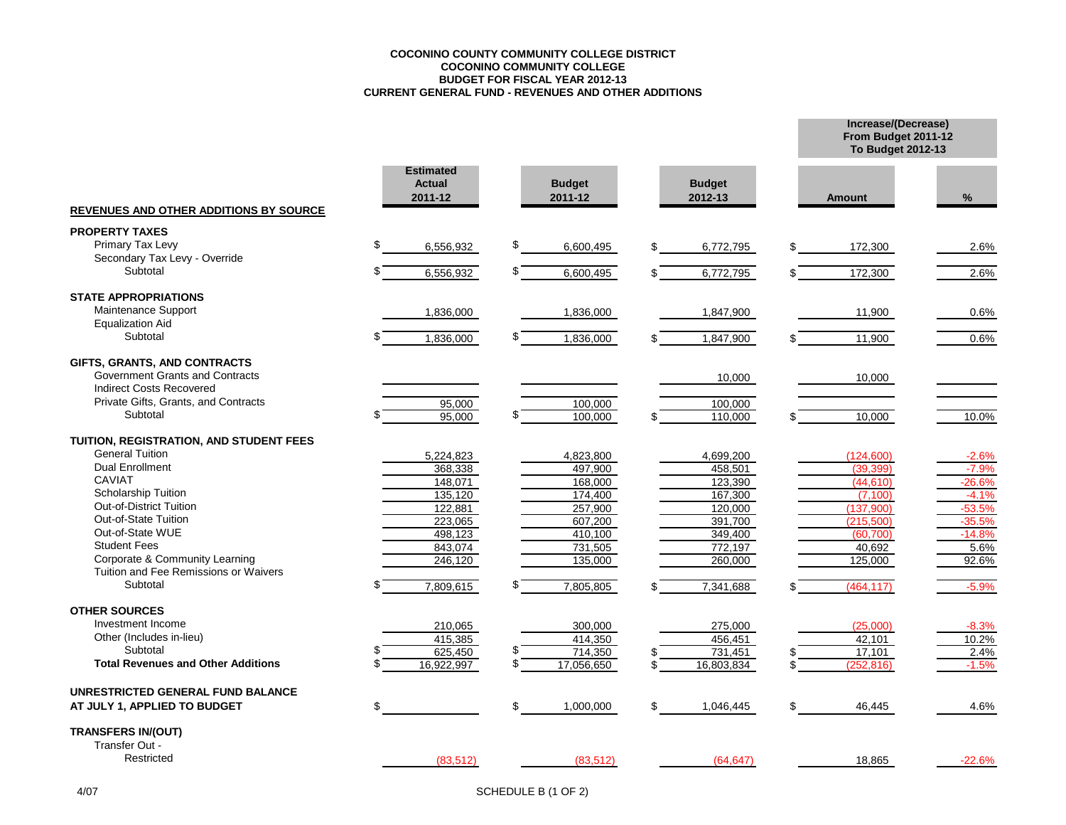### **COCONINO COUNTY COMMUNITY COLLEGE DISTRICT COCONINO COMMUNITY COLLEGE BUDGET FOR FISCAL YEAR 2012-13 CURRENT GENERAL FUND - REVENUES AND OTHER ADDITIONS**

**Increase/(Decrease) From Budget 2011-12**

|                                               |                                              |                          |                          | <b>To Budget 2012-13</b> |          |
|-----------------------------------------------|----------------------------------------------|--------------------------|--------------------------|--------------------------|----------|
| <b>REVENUES AND OTHER ADDITIONS BY SOURCE</b> | <b>Estimated</b><br><b>Actual</b><br>2011-12 | <b>Budget</b><br>2011-12 | <b>Budget</b><br>2012-13 | <b>Amount</b>            | %        |
| <b>PROPERTY TAXES</b>                         |                                              |                          |                          |                          |          |
| Primary Tax Levy                              | S<br>6,556,932                               | \$<br>6,600,495          | 6,772,795<br>\$          | 172,300<br>\$            | 2.6%     |
| Secondary Tax Levy - Override                 |                                              |                          |                          |                          |          |
| Subtotal                                      | 6,556,932                                    | \$.<br>6,600,495         | 6,772,795                | 172,300                  | 2.6%     |
| <b>STATE APPROPRIATIONS</b>                   |                                              |                          |                          |                          |          |
| Maintenance Support                           | 1,836,000                                    | 1,836,000                | 1,847,900                | 11,900                   | 0.6%     |
| <b>Equalization Aid</b>                       |                                              |                          |                          |                          |          |
| Subtotal                                      | 1,836,000                                    | \$<br>1,836,000          | 1,847,900                | 11,900                   | 0.6%     |
| GIFTS, GRANTS, AND CONTRACTS                  |                                              |                          |                          |                          |          |
| Government Grants and Contracts               |                                              |                          | 10,000                   | 10,000                   |          |
| Indirect Costs Recovered                      |                                              |                          |                          |                          |          |
| Private Gifts, Grants, and Contracts          | 95,000                                       | 100,000                  | 100,000                  |                          |          |
| Subtotal                                      | 95,000                                       | 100,000                  | 110,000                  | 10,000                   | 10.0%    |
| TUITION, REGISTRATION, AND STUDENT FEES       |                                              |                          |                          |                          |          |
| <b>General Tuition</b>                        | 5,224,823                                    | 4,823,800                | 4,699,200                | (124, 600)               | $-2.6%$  |
| <b>Dual Enrollment</b>                        | 368,338                                      | 497,900                  | 458,501                  | (39, 399)                | $-7.9%$  |
| <b>CAVIAT</b>                                 | 148,071                                      | 168,000                  | 123,390                  | (44, 610)                | $-26.6%$ |
| Scholarship Tuition                           | 135,120                                      | 174,400                  | 167,300                  | (7.100)                  | $-4.1%$  |
| Out-of-District Tuition                       | 122,881                                      | 257,900                  | 120,000                  | (137,900)                | $-53.5%$ |
| Out-of-State Tuition                          | 223,065                                      | 607,200                  | 391,700                  | (215,500)                | $-35.5%$ |
| Out-of-State WUE                              | 498,123                                      | 410,100                  | 349,400                  | (60, 700)                | $-14.8%$ |
| <b>Student Fees</b>                           | 843,074                                      | 731,505                  | 772,197                  | 40,692                   | 5.6%     |
| Corporate & Community Learning                | 246,120                                      | 135,000                  | 260,000                  | 125,000                  | 92.6%    |
| Tuition and Fee Remissions or Waivers         |                                              |                          |                          |                          |          |
| Subtotal                                      | 7,809,615                                    | 7,805,805                | 7,341,688                | (464, 117)               | $-5.9%$  |
| <b>OTHER SOURCES</b>                          |                                              |                          |                          |                          |          |
| Investment Income                             | 210,065                                      | 300,000                  | 275,000                  | (25,000)                 | $-8.3%$  |
| Other (Includes in-lieu)                      | 415,385                                      | 414,350                  | 456,451                  | 42,101                   | 10.2%    |
| Subtotal                                      | 625,450                                      | \$<br>714,350            | 731,451                  | 17,101                   | 2.4%     |
| <b>Total Revenues and Other Additions</b>     | 16,922,997                                   | \$<br>17,056,650         | 16,803,834               | \$<br>(252, 816)         | $-1.5%$  |
| UNRESTRICTED GENERAL FUND BALANCE             |                                              |                          |                          |                          |          |
| AT JULY 1, APPLIED TO BUDGET                  | \$                                           | \$<br>1,000,000          | \$<br>1,046,445          | \$<br>46,445             | 4.6%     |
| <b>TRANSFERS IN/(OUT)</b>                     |                                              |                          |                          |                          |          |
| Transfer Out -                                |                                              |                          |                          |                          |          |
| Restricted                                    | (83, 512)                                    | (83, 512)                | (64, 647)                | 18,865                   | $-22.6%$ |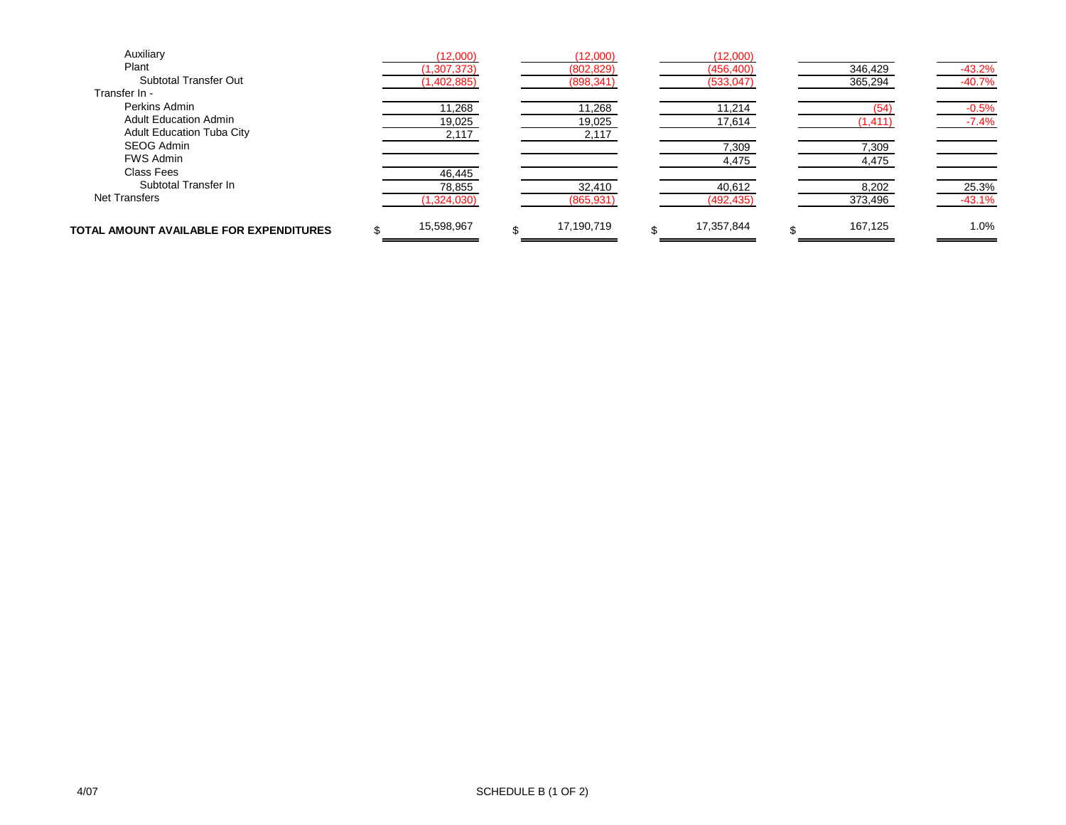| Auxiliary                               | (12,000)      | (12,000)   | (12,000)   |          |          |
|-----------------------------------------|---------------|------------|------------|----------|----------|
| Plant                                   | (1, 307, 373) | (802, 829) | (456, 400) | 346,429  | $-43.2%$ |
| <b>Subtotal Transfer Out</b>            | (1,402,885)   | (898, 341) | (533, 047) | 365,294  | $-40.7%$ |
| Transfer In -                           |               |            |            |          |          |
| Perkins Admin                           | 11,268        | 11,268     | 11,214     |          | $-0.5%$  |
| <b>Adult Education Admin</b>            | 19,025        | 19,025     | 17,614     | (1, 411) | $-7.4%$  |
| <b>Adult Education Tuba City</b>        | 2,117         | 2,117      |            |          |          |
| SEOG Admin                              |               |            | 7,309      | 7,309    |          |
| <b>FWS Admin</b>                        |               |            | 4,475      | 4,475    |          |
| Class Fees                              | 46,445        |            |            |          |          |
| Subtotal Transfer In                    | 78,855        | 32,410     | 40,612     | 8,202    | 25.3%    |
| <b>Net Transfers</b>                    | (1,324,030)   | (865, 931) | (492, 435) | 373,496  | $-43.1%$ |
| TOTAL AMOUNT AVAILABLE FOR EXPENDITURES | 15,598,967    | 17,190,719 | 17,357,844 | 167.125  | 1.0%     |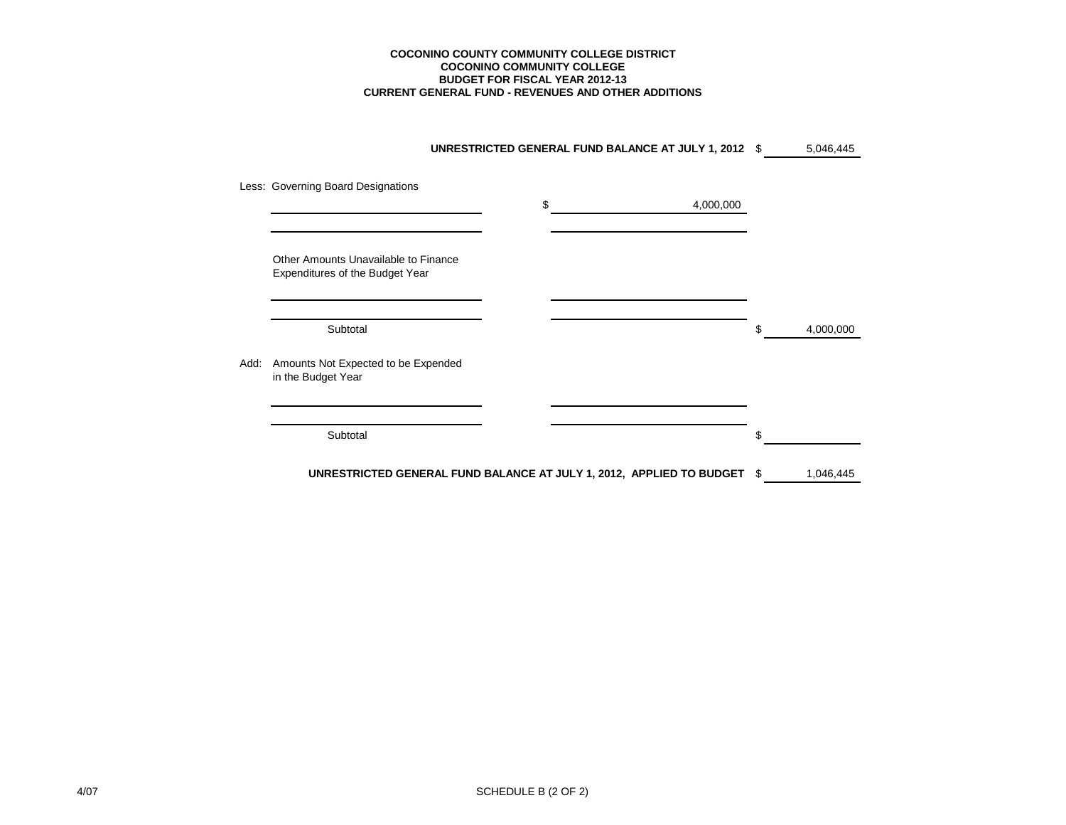#### **CURRENT GENERAL FUND - REVENUES AND OTHER ADDITIONS COCONINO COUNTY COMMUNITY COLLEGE DISTRICT COCONINO COMMUNITY COLLEGE BUDGET FOR FISCAL YEAR 2012-13**

|      |                                                                         | UNRESTRICTED GENERAL FUND BALANCE AT JULY 1, 2012 \$                    |     | 5,046,445 |
|------|-------------------------------------------------------------------------|-------------------------------------------------------------------------|-----|-----------|
|      | Less: Governing Board Designations                                      | \$<br>4,000,000                                                         |     |           |
|      | Other Amounts Unavailable to Finance<br>Expenditures of the Budget Year |                                                                         |     |           |
|      | Subtotal                                                                |                                                                         | \$  | 4,000,000 |
| Add: | Amounts Not Expected to be Expended<br>in the Budget Year               |                                                                         |     |           |
|      | Subtotal                                                                |                                                                         | \$. |           |
|      |                                                                         | UNRESTRICTED GENERAL FUND BALANCE AT JULY 1, 2012, APPLIED TO BUDGET \$ |     | 1,046,445 |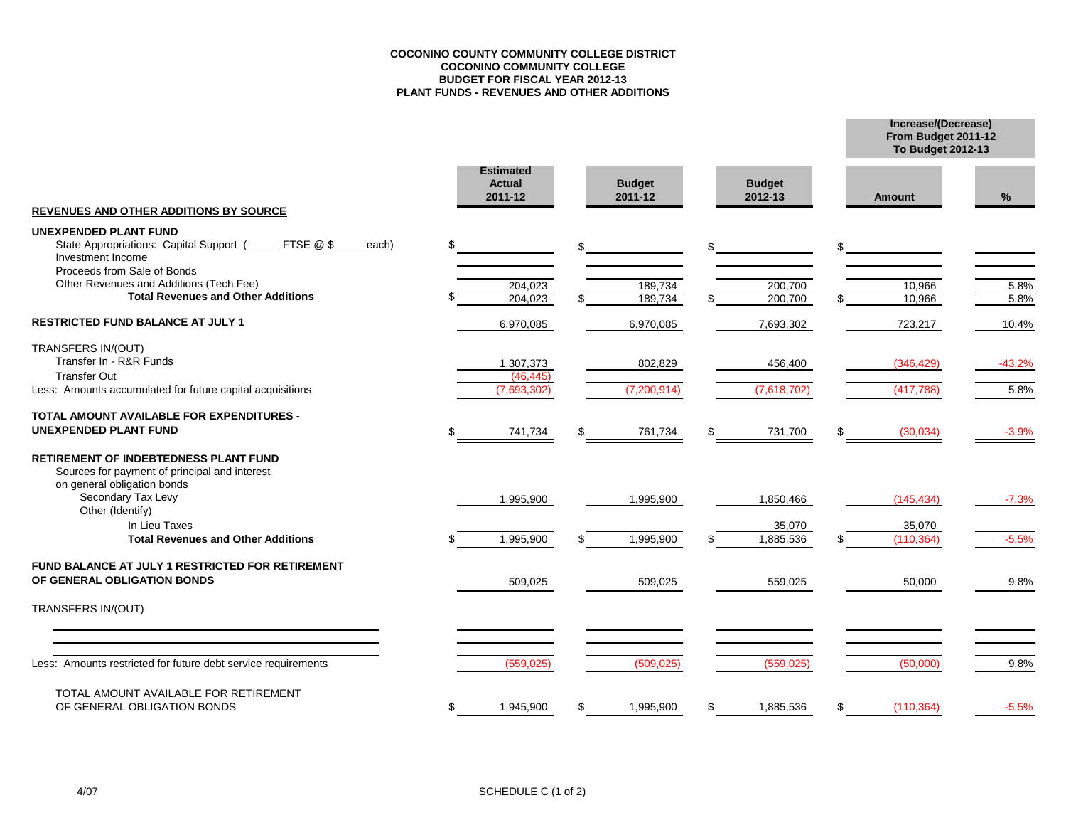### **COCONINO COUNTY COMMUNITY COLLEGE DISTRICT COCONINO COMMUNITY COLLEGE BUDGET FOR FISCAL YEAR 2012-13 PLANT FUNDS - REVENUES AND OTHER ADDITIONS**

**From Budget 2011-12 Increase/(Decrease)**

**To Budget 2012-13**

|                                                                                                                                                                                                                                             | <b>Estimated</b><br><b>Actual</b><br>2011-12 |    | <b>Budget</b><br>2011-12 |     | <b>Budget</b><br>2012-13 |    | Amount                   | %                |
|---------------------------------------------------------------------------------------------------------------------------------------------------------------------------------------------------------------------------------------------|----------------------------------------------|----|--------------------------|-----|--------------------------|----|--------------------------|------------------|
| REVENUES AND OTHER ADDITIONS BY SOURCE                                                                                                                                                                                                      |                                              |    |                          |     |                          |    |                          |                  |
| <b>UNEXPENDED PLANT FUND</b><br>State Appropriations: Capital Support (_____ FTSE @ \$<br>each)<br>Investment Income<br>Proceeds from Sale of Bonds<br>Other Revenues and Additions (Tech Fee)<br><b>Total Revenues and Other Additions</b> | \$<br>204,023<br>204,023                     | \$ | 189,734<br>189,734       |     | 200,700<br>200,700       | ደ  | 10,966<br>10,966         | 5.8%<br>5.8%     |
|                                                                                                                                                                                                                                             |                                              |    |                          |     |                          |    |                          |                  |
| <b>RESTRICTED FUND BALANCE AT JULY 1</b>                                                                                                                                                                                                    | 6,970,085                                    |    | 6,970,085                |     | 7,693,302                |    | 723,217                  | 10.4%            |
| TRANSFERS IN/(OUT)<br>Transfer In - R&R Funds<br><b>Transfer Out</b><br>Less: Amounts accumulated for future capital acquisitions                                                                                                           | 1,307,373<br>(46.445)<br>(7,693,302)         |    | 802,829<br>(7,200,914)   |     | 456,400<br>(7,618,702)   |    | (346, 429)<br>(417, 788) | $-43.2%$<br>5.8% |
| TOTAL AMOUNT AVAILABLE FOR EXPENDITURES -                                                                                                                                                                                                   |                                              |    |                          |     |                          |    |                          |                  |
| <b>UNEXPENDED PLANT FUND</b>                                                                                                                                                                                                                | 741,734                                      | \$ | 761,734                  | -SS | 731,700                  | \$ | (30,034)                 | $-3.9%$          |
| RETIREMENT OF INDEBTEDNESS PLANT FUND<br>Sources for payment of principal and interest<br>on general obligation bonds<br>Secondary Tax Levy<br>Other (Identify)                                                                             | 1,995,900                                    |    | 1,995,900                |     | 1,850,466                |    | (145, 434)               | $-7.3%$          |
| In Lieu Taxes                                                                                                                                                                                                                               |                                              |    |                          |     | 35,070                   |    | 35,070                   |                  |
| <b>Total Revenues and Other Additions</b>                                                                                                                                                                                                   | 1,995,900                                    | ደ  | 1,995,900                |     | 1,885,536                | \$ | (110, 364)               | $-5.5%$          |
| FUND BALANCE AT JULY 1 RESTRICTED FOR RETIREMENT<br>OF GENERAL OBLIGATION BONDS                                                                                                                                                             | 509,025                                      |    | 509,025                  |     | 559,025                  |    | 50,000                   | 9.8%             |
| TRANSFERS IN/(OUT)                                                                                                                                                                                                                          |                                              |    |                          |     |                          |    |                          |                  |
| Less: Amounts restricted for future debt service requirements                                                                                                                                                                               | (559, 025)                                   |    | (509, 025)               |     | (559, 025)               |    | (50,000)                 | 9.8%             |
|                                                                                                                                                                                                                                             |                                              |    |                          |     |                          |    |                          |                  |
| TOTAL AMOUNT AVAILABLE FOR RETIREMENT<br>OF GENERAL OBLIGATION BONDS                                                                                                                                                                        | \$<br>1,945,900                              | \$ | 1,995,900                | £.  | 1,885,536                | \$ | (110, 364)               | $-5.5%$          |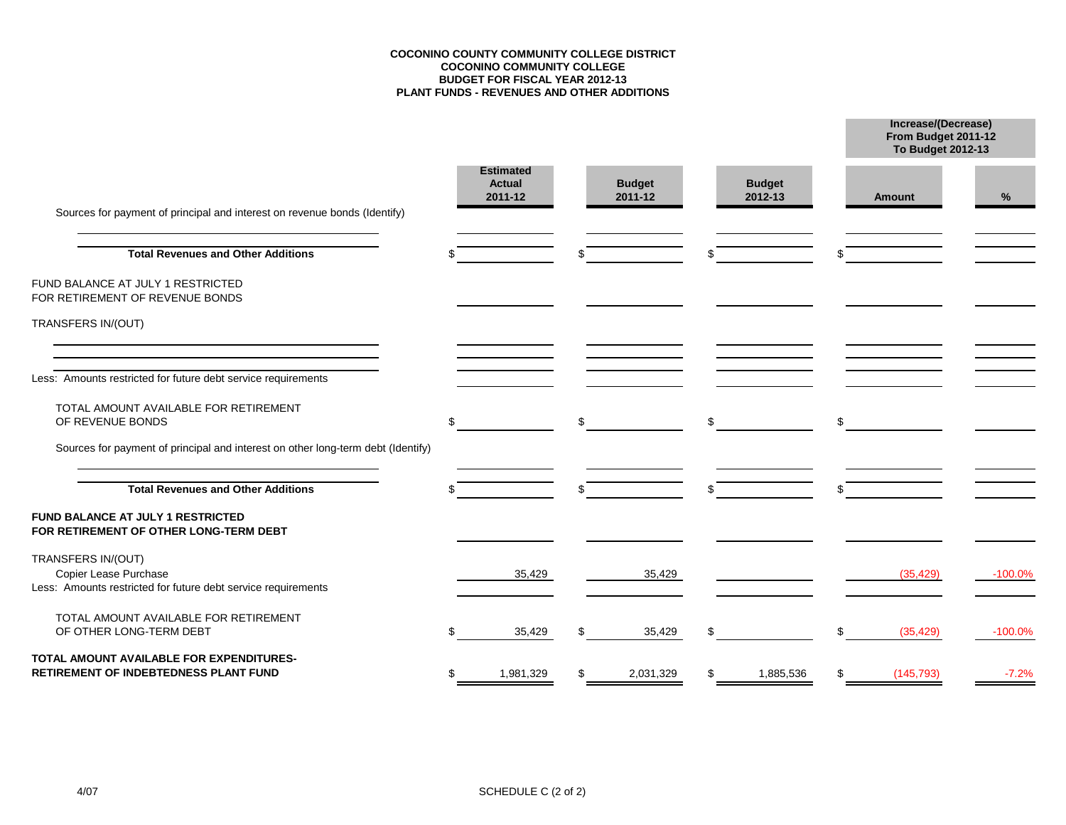### **COCONINO COUNTY COMMUNITY COLLEGE DISTRICT COCONINO COMMUNITY COLLEGE BUDGET FOR FISCAL YEAR 2012-13 PLANT FUNDS - REVENUES AND OTHER ADDITIONS**

**From Budget 2011-12 Increase/(Decrease)**

|                                                                                                              |    |                                              |     |                          |                          | <b>To Budget 2012-13</b> |            |  |
|--------------------------------------------------------------------------------------------------------------|----|----------------------------------------------|-----|--------------------------|--------------------------|--------------------------|------------|--|
| Sources for payment of principal and interest on revenue bonds (Identify)                                    |    | <b>Estimated</b><br><b>Actual</b><br>2011-12 |     | <b>Budget</b><br>2011-12 | <b>Budget</b><br>2012-13 | <b>Amount</b>            | %          |  |
| <b>Total Revenues and Other Additions</b>                                                                    |    |                                              |     |                          |                          |                          |            |  |
| FUND BALANCE AT JULY 1 RESTRICTED<br>FOR RETIREMENT OF REVENUE BONDS                                         |    |                                              |     |                          |                          |                          |            |  |
| TRANSFERS IN/(OUT)                                                                                           |    |                                              |     |                          |                          |                          |            |  |
| Less: Amounts restricted for future debt service requirements                                                |    |                                              |     |                          |                          |                          |            |  |
| TOTAL AMOUNT AVAILABLE FOR RETIREMENT<br>OF REVENUE BONDS                                                    | \$ |                                              | \$  |                          | \$                       | \$                       |            |  |
| Sources for payment of principal and interest on other long-term debt (Identify)                             |    |                                              |     |                          |                          |                          |            |  |
| <b>Total Revenues and Other Additions</b>                                                                    |    |                                              |     |                          |                          |                          |            |  |
| FUND BALANCE AT JULY 1 RESTRICTED<br>FOR RETIREMENT OF OTHER LONG-TERM DEBT                                  |    |                                              |     |                          |                          |                          |            |  |
| TRANSFERS IN/(OUT)<br>Copier Lease Purchase<br>Less: Amounts restricted for future debt service requirements |    | 35,429                                       |     | 35,429                   |                          | (35, 429)                | $-100.0\%$ |  |
| TOTAL AMOUNT AVAILABLE FOR RETIREMENT<br>OF OTHER LONG-TERM DEBT                                             |    | 35,429                                       | \$. | 35,429                   | \$                       | \$<br>(35, 429)          | $-100.0\%$ |  |
| TOTAL AMOUNT AVAILABLE FOR EXPENDITURES-<br>RETIREMENT OF INDEBTEDNESS PLANT FUND                            | S  | 1,981,329                                    | \$  | 2,031,329                | \$<br>1,885,536          | \$<br>(145, 793)         | $-7.2%$    |  |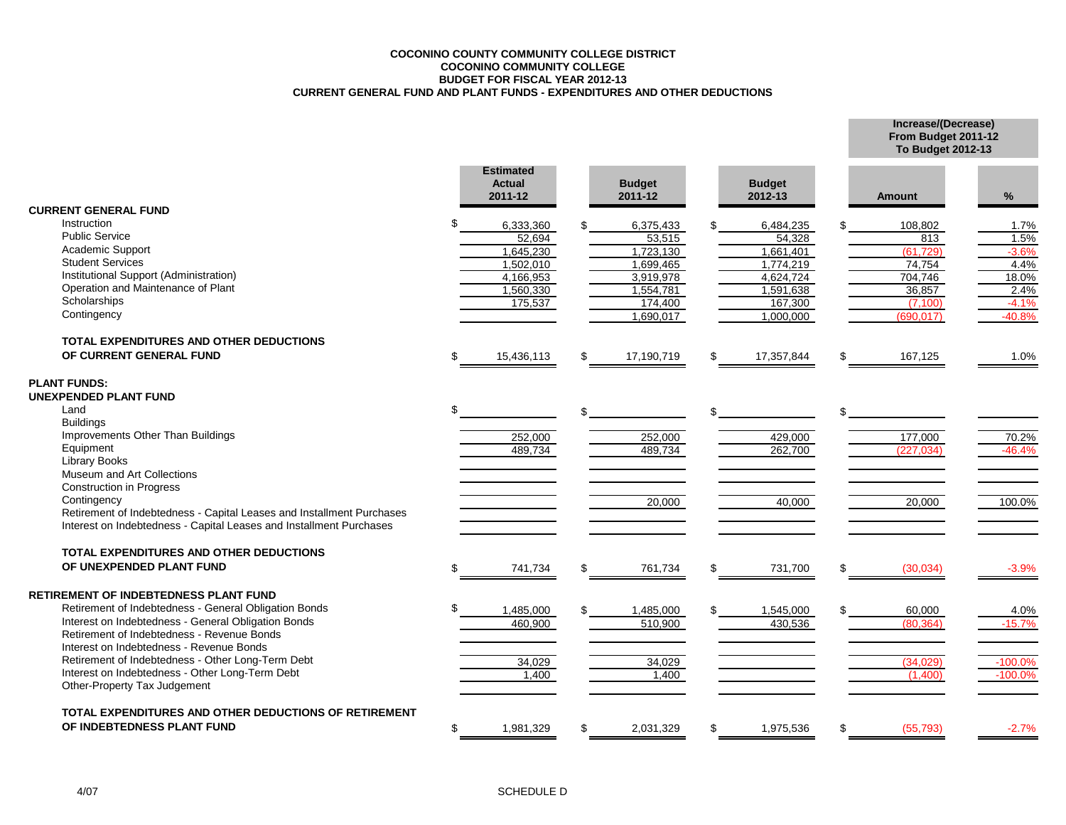### **COCONINO COUNTY COMMUNITY COLLEGE DISTRICT COCONINO COMMUNITY COLLEGE BUDGET FOR FISCAL YEAR 2012-13 CURRENT GENERAL FUND AND PLANT FUNDS - EXPENDITURES AND OTHER DEDUCTIONS**

**Increase/(Decrease) From Budget 2011-12**

|                                                                                                              |     |                                              |                          |     |                          | <b>To Budget 2012-13</b> |                   |
|--------------------------------------------------------------------------------------------------------------|-----|----------------------------------------------|--------------------------|-----|--------------------------|--------------------------|-------------------|
|                                                                                                              |     | <b>Estimated</b><br><b>Actual</b><br>2011-12 | <b>Budget</b><br>2011-12 |     | <b>Budget</b><br>2012-13 | <b>Amount</b>            | %                 |
| <b>CURRENT GENERAL FUND</b>                                                                                  |     |                                              |                          |     |                          |                          |                   |
| Instruction                                                                                                  |     | 6,333,360                                    | 6,375,433                | \$  | 6,484,235                | 108,802                  | 1.7%              |
| <b>Public Service</b>                                                                                        |     | 52.694                                       | 53,515                   |     | 54.328                   | 813                      | 1.5%              |
| Academic Support                                                                                             |     | 1,645,230                                    | 1,723,130                |     | 1,661,401                | (61, 729)                | $-3.6%$           |
| <b>Student Services</b>                                                                                      |     | 1,502,010                                    | 1,699,465                |     | 1,774,219                | 74,754                   | 4.4%              |
| Institutional Support (Administration)                                                                       |     | 4,166,953                                    | 3,919,978                |     | 4,624,724                | 704,746                  | 18.0%             |
| Operation and Maintenance of Plant                                                                           |     | 1,560,330                                    | 1,554,781                |     | 1,591,638                | 36,857                   | 2.4%              |
| Scholarships                                                                                                 |     | 175,537                                      | 174,400                  |     | 167,300                  | (7, 100)                 | $-4.1%$           |
| Contingency                                                                                                  |     |                                              | 1,690,017                |     | 1,000,000                | (690, 017)               | $-40.8%$          |
| TOTAL EXPENDITURES AND OTHER DEDUCTIONS                                                                      |     |                                              |                          |     |                          |                          |                   |
| OF CURRENT GENERAL FUND                                                                                      | \$. | 15,436,113                                   | 17,190,719               | \$  | 17,357,844               | \$<br>167,125            | 1.0%              |
| <b>PLANT FUNDS:</b><br><b>UNEXPENDED PLANT FUND</b>                                                          |     |                                              |                          |     |                          |                          |                   |
| Land<br><b>Buildings</b>                                                                                     |     |                                              |                          | \$. |                          |                          |                   |
| Improvements Other Than Buildings                                                                            |     | 252.000                                      |                          |     | 429.000                  |                          |                   |
| Equipment                                                                                                    |     | 489,734                                      | 252,000<br>489,734       |     | 262,700                  | 177,000<br>(227, 034)    | 70.2%<br>$-46.4%$ |
| Library Books                                                                                                |     |                                              |                          |     |                          |                          |                   |
| Museum and Art Collections                                                                                   |     |                                              |                          |     |                          |                          |                   |
| <b>Construction in Progress</b>                                                                              |     |                                              |                          |     |                          |                          |                   |
| Contingency                                                                                                  |     |                                              | 20,000                   |     | 40,000                   | 20,000                   | 100.0%            |
| Retirement of Indebtedness - Capital Leases and Installment Purchases                                        |     |                                              |                          |     |                          |                          |                   |
| Interest on Indebtedness - Capital Leases and Installment Purchases                                          |     |                                              |                          |     |                          |                          |                   |
| <b>TOTAL EXPENDITURES AND OTHER DEDUCTIONS</b>                                                               |     |                                              |                          |     |                          |                          |                   |
| OF UNEXPENDED PLANT FUND                                                                                     | ደ   | 741,734                                      | \$<br>761,734            | \$  | 731,700                  | \$<br>(30,034)           | $-3.9%$           |
|                                                                                                              |     |                                              |                          |     |                          |                          |                   |
| <b>RETIREMENT OF INDEBTEDNESS PLANT FUND</b>                                                                 |     |                                              |                          |     |                          |                          |                   |
| Retirement of Indebtedness - General Obligation Bonds<br>Interest on Indebtedness - General Obligation Bonds |     | 1,485,000                                    | 1,485,000                |     | 1,545,000                | 60,000                   | 4.0%              |
| Retirement of Indebtedness - Revenue Bonds                                                                   |     | 460,900                                      | 510,900                  |     | 430,536                  | (80, 364)                | $-15.7%$          |
| Interest on Indebtedness - Revenue Bonds                                                                     |     |                                              |                          |     |                          |                          |                   |
| Retirement of Indebtedness - Other Long-Term Debt                                                            |     | 34,029                                       | 34,029                   |     |                          | (34.029)                 | $-100.0%$         |
| Interest on Indebtedness - Other Long-Term Debt                                                              |     | 1,400                                        | 1,400                    |     |                          | (1,400)                  | $-100.0%$         |
| Other-Property Tax Judgement                                                                                 |     |                                              |                          |     |                          |                          |                   |
| TOTAL EXPENDITURES AND OTHER DEDUCTIONS OF RETIREMENT                                                        |     |                                              |                          |     |                          |                          |                   |
| OF INDEBTEDNESS PLANT FUND                                                                                   | \$. | 1,981,329                                    | 2,031,329                | \$  | 1,975,536                | \$<br>(55, 793)          | $-2.7%$           |
|                                                                                                              |     |                                              |                          |     |                          |                          |                   |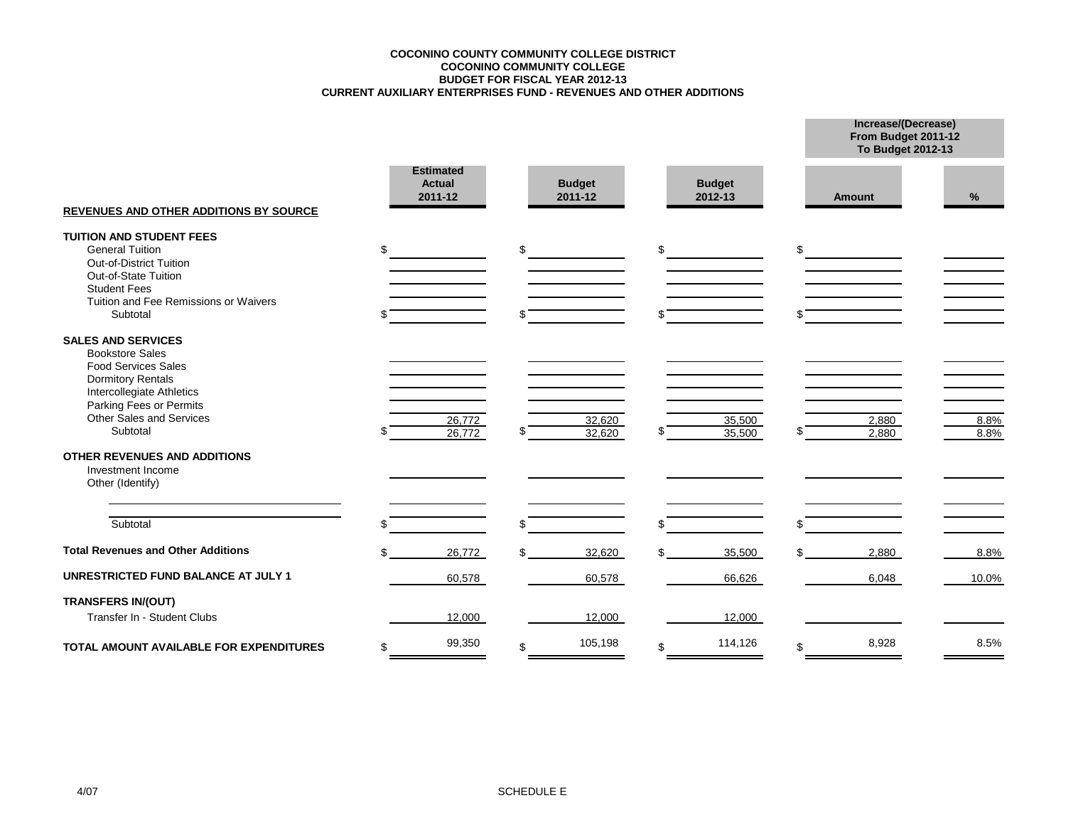### **COCONINO COUNTY COMMUNITY COLLEGE DISTRICT CURRENT AUXILIARY ENTERPRISES FUND - REVENUES AND OTHER ADDITIONS BUDGET FOR FISCAL YEAR 2012-13 COCONINO COMMUNITY COLLEGE**

**Increase/(Decrease) From Budget 2011-12**

|                                                                                                                                                                                                                      |                                              |    |                          |              |                          |          | <b>To Budget 2012-13</b> |              |  |  |  |
|----------------------------------------------------------------------------------------------------------------------------------------------------------------------------------------------------------------------|----------------------------------------------|----|--------------------------|--------------|--------------------------|----------|--------------------------|--------------|--|--|--|
| <b>REVENUES AND OTHER ADDITIONS BY SOURCE</b>                                                                                                                                                                        | <b>Estimated</b><br><b>Actual</b><br>2011-12 |    | <b>Budget</b><br>2011-12 |              | <b>Budget</b><br>2012-13 |          | <b>Amount</b>            | %            |  |  |  |
| <b>TUITION AND STUDENT FEES</b><br><b>General Tuition</b><br>Out-of-District Tuition<br>Out-of-State Tuition<br><b>Student Fees</b><br>Tuition and Fee Remissions or Waivers<br>Subtotal                             | \$                                           | \$ |                          | $\mathbb{S}$ |                          | \$<br>\$ |                          |              |  |  |  |
| <b>SALES AND SERVICES</b><br><b>Bookstore Sales</b><br><b>Food Services Sales</b><br><b>Dormitory Rentals</b><br>Intercollegiate Athletics<br>Parking Fees or Permits<br><b>Other Sales and Services</b><br>Subtotal | 26,772<br>26,772                             |    | 32,620<br>32,620         |              | 35,500<br>35,500         | \$       | 2,880<br>2,880           | 8.8%<br>8.8% |  |  |  |
| <b>OTHER REVENUES AND ADDITIONS</b><br>Investment Income<br>Other (Identify)                                                                                                                                         |                                              |    |                          |              |                          |          |                          |              |  |  |  |
| Subtotal                                                                                                                                                                                                             |                                              | \$ |                          | \$.          |                          | \$       |                          |              |  |  |  |
| <b>Total Revenues and Other Additions</b>                                                                                                                                                                            | 26,772                                       |    | 32,620                   |              | 35,500                   | \$.      | 2,880                    | 8.8%         |  |  |  |
| <b>UNRESTRICTED FUND BALANCE AT JULY 1</b>                                                                                                                                                                           | 60,578                                       |    | 60,578                   |              | 66,626                   |          | 6,048                    | 10.0%        |  |  |  |
| <b>TRANSFERS IN/(OUT)</b><br>Transfer In - Student Clubs                                                                                                                                                             | 12,000                                       |    | 12,000                   |              | 12,000                   |          |                          |              |  |  |  |
| TOTAL AMOUNT AVAILABLE FOR EXPENDITURES                                                                                                                                                                              | \$<br>99,350                                 | \$ | 105,198                  | \$           | 114,126                  | \$       | 8,928                    | 8.5%         |  |  |  |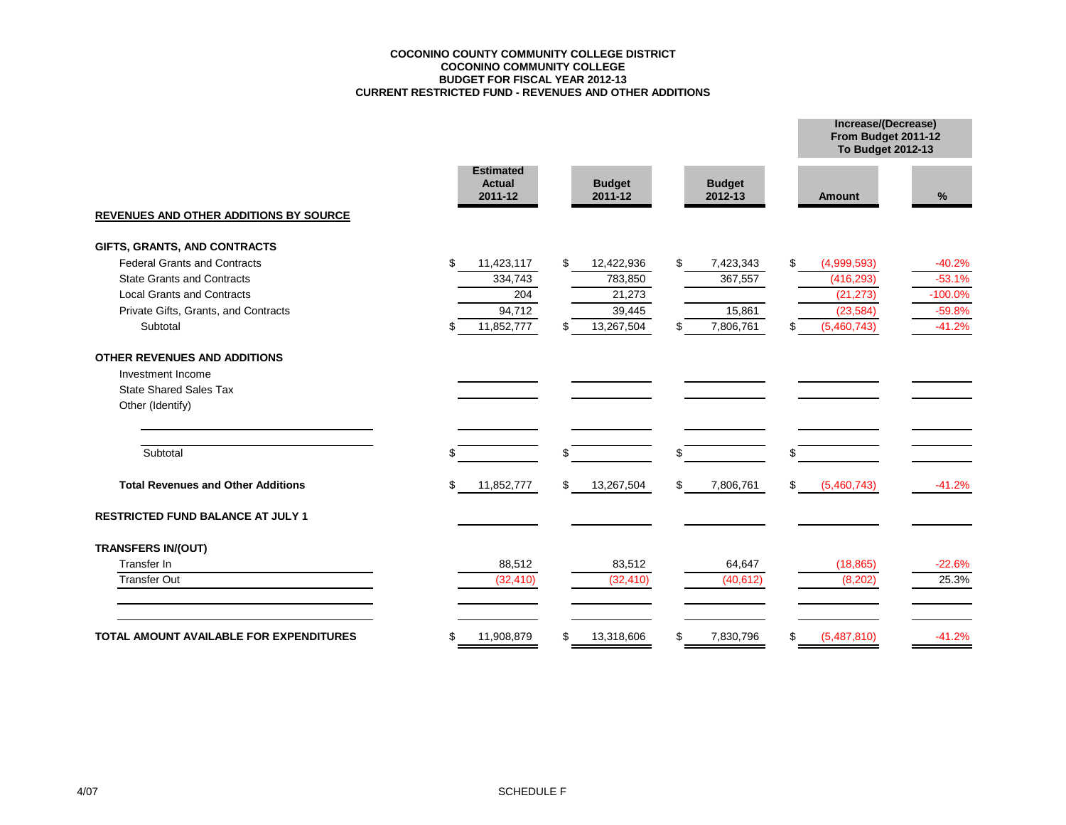### **COCONINO COUNTY COMMUNITY COLLEGE DISTRICT COCONINO COMMUNITY COLLEGE BUDGET FOR FISCAL YEAR 2012-13 CURRENT RESTRICTED FUND - REVENUES AND OTHER ADDITIONS**

**Increase/(Decrease)**

|                                               |                                              |                          |                          |                   | From Budget 2011-12<br>To Budget 2012-13 |  |
|-----------------------------------------------|----------------------------------------------|--------------------------|--------------------------|-------------------|------------------------------------------|--|
|                                               | <b>Estimated</b><br><b>Actual</b><br>2011-12 | <b>Budget</b><br>2011-12 | <b>Budget</b><br>2012-13 | <b>Amount</b>     | %                                        |  |
| <b>REVENUES AND OTHER ADDITIONS BY SOURCE</b> |                                              |                          |                          |                   |                                          |  |
| GIFTS, GRANTS, AND CONTRACTS                  |                                              |                          |                          |                   |                                          |  |
| <b>Federal Grants and Contracts</b>           | \$<br>11,423,117                             | \$<br>12,422,936         | \$<br>7,423,343          | \$<br>(4,999,593) | $-40.2%$                                 |  |
| <b>State Grants and Contracts</b>             | 334,743                                      | 783,850                  | 367,557                  | (416, 293)        | $-53.1%$                                 |  |
| <b>Local Grants and Contracts</b>             | 204                                          | 21,273                   |                          | (21, 273)         | $-100.0%$                                |  |
| Private Gifts, Grants, and Contracts          | 94,712                                       | 39,445                   | 15,861                   | (23, 584)         | $-59.8%$                                 |  |
| Subtotal                                      | 11,852,777<br>\$                             | 13,267,504<br>\$         | 7,806,761<br>\$.         | (5,460,743)<br>\$ | $-41.2%$                                 |  |
| <b>OTHER REVENUES AND ADDITIONS</b>           |                                              |                          |                          |                   |                                          |  |
| Investment Income                             |                                              |                          |                          |                   |                                          |  |
| <b>State Shared Sales Tax</b>                 |                                              |                          |                          |                   |                                          |  |
| Other (Identify)                              |                                              |                          |                          |                   |                                          |  |
| Subtotal                                      | \$.                                          | \$                       | \$.                      | \$.               |                                          |  |
| <b>Total Revenues and Other Additions</b>     | 11,852,777<br>\$                             | \$<br>13,267,504         | \$<br>7,806,761          | \$<br>(5,460,743) | $-41.2%$                                 |  |
| RESTRICTED FUND BALANCE AT JULY 1             |                                              |                          |                          |                   |                                          |  |
| <b>TRANSFERS IN/(OUT)</b>                     |                                              |                          |                          |                   |                                          |  |
| Transfer In                                   | 88,512                                       | 83,512                   | 64,647                   | (18, 865)         | $-22.6%$                                 |  |
| <b>Transfer Out</b>                           | (32, 410)                                    | (32, 410)                | (40, 612)                | (8, 202)          | 25.3%                                    |  |
| TOTAL AMOUNT AVAILABLE FOR EXPENDITURES       | \$<br>11,908,879                             | 13,318,606<br>S          | 7,830,796<br>\$.         | (5,487,810)<br>S  | $-41.2%$                                 |  |
|                                               |                                              |                          |                          |                   |                                          |  |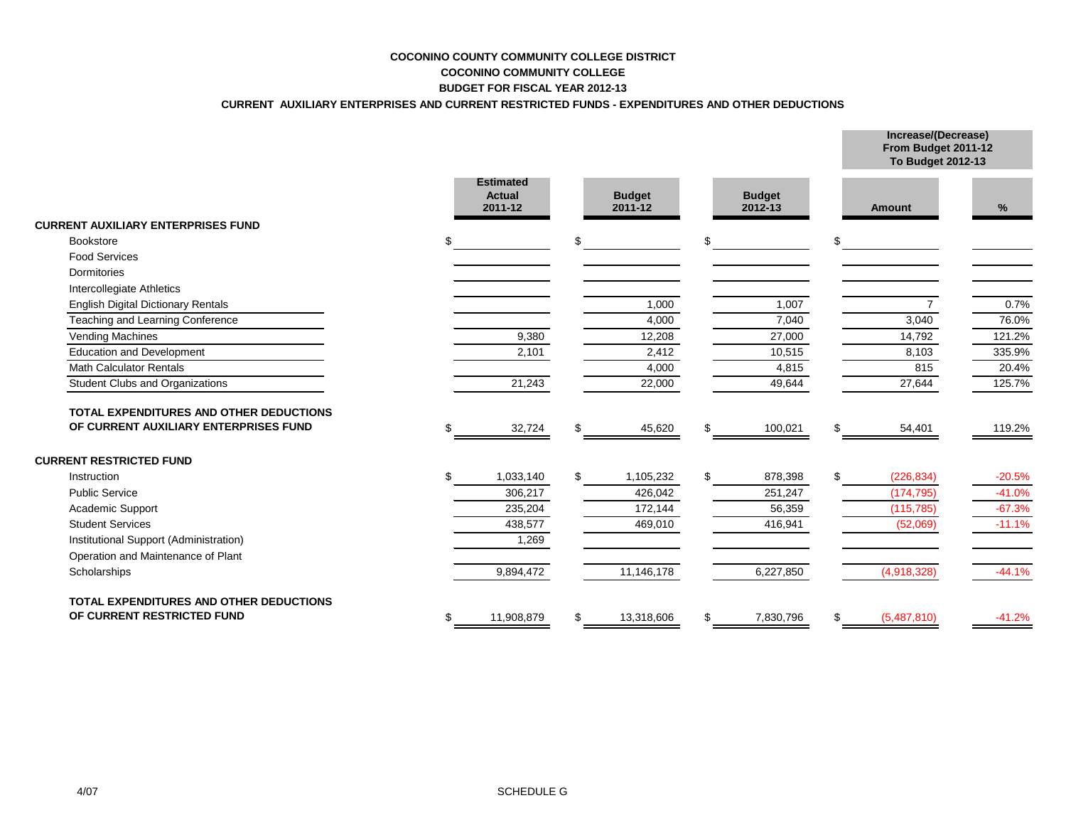# **COCONINO COUNTY COMMUNITY COLLEGE DISTRICT COCONINO COMMUNITY COLLEGE BUDGET FOR FISCAL YEAR 2012-13**

# **CURRENT AUXILIARY ENTERPRISES AND CURRENT RESTRICTED FUNDS - EXPENDITURES AND OTHER DEDUCTIONS**

**Increase/(Decrease)**

|                                           |                                       |                          |                          |     | From Budget 2011-12<br>To Budget 2012-13 |          |
|-------------------------------------------|---------------------------------------|--------------------------|--------------------------|-----|------------------------------------------|----------|
|                                           | <b>Estimated</b><br>Actual<br>2011-12 | <b>Budget</b><br>2011-12 | <b>Budget</b><br>2012-13 |     | <b>Amount</b>                            | %        |
| <b>CURRENT AUXILIARY ENTERPRISES FUND</b> |                                       |                          |                          |     |                                          |          |
| <b>Bookstore</b>                          |                                       | \$                       | \$                       | \$  |                                          |          |
| <b>Food Services</b>                      |                                       |                          |                          |     |                                          |          |
| Dormitories                               |                                       |                          |                          |     |                                          |          |
| Intercollegiate Athletics                 |                                       |                          |                          |     |                                          |          |
| <b>English Digital Dictionary Rentals</b> |                                       | 1,000                    | 1,007                    |     | $\overline{7}$                           | 0.7%     |
| Teaching and Learning Conference          |                                       | 4,000                    | 7,040                    |     | 3,040                                    | 76.0%    |
| Vending Machines                          | 9,380                                 | 12,208                   | 27,000                   |     | 14,792                                   | 121.2%   |
| <b>Education and Development</b>          | 2,101                                 | 2,412                    | 10,515                   |     | 8,103                                    | 335.9%   |
| <b>Math Calculator Rentals</b>            |                                       | 4,000                    | 4,815                    |     | 815                                      | 20.4%    |
| <b>Student Clubs and Organizations</b>    | 21,243                                | 22,000                   | 49,644                   |     | 27,644                                   | 125.7%   |
| TOTAL EXPENDITURES AND OTHER DEDUCTIONS   |                                       |                          |                          |     |                                          |          |
| OF CURRENT AUXILIARY ENTERPRISES FUND     | 32,724                                | 45,620                   | \$<br>100,021            | \$  | 54,401                                   | 119.2%   |
| <b>CURRENT RESTRICTED FUND</b>            |                                       |                          |                          |     |                                          |          |
| Instruction                               | 1,033,140                             | 1,105,232                | \$<br>878,398            | \$. | (226, 834)                               | $-20.5%$ |
| <b>Public Service</b>                     | 306,217                               | 426,042                  | 251,247                  |     | (174, 795)                               | $-41.0%$ |
| <b>Academic Support</b>                   | 235,204                               | 172,144                  | 56,359                   |     | (115, 785)                               | $-67.3%$ |
| <b>Student Services</b>                   | 438,577                               | 469,010                  | 416,941                  |     | (52,069)                                 | $-11.1%$ |
| Institutional Support (Administration)    | 1,269                                 |                          |                          |     |                                          |          |
| Operation and Maintenance of Plant        |                                       |                          |                          |     |                                          |          |
| Scholarships                              | 9,894,472                             | 11,146,178               | 6,227,850                |     | (4,918,328)                              | $-44.1%$ |
| TOTAL EXPENDITURES AND OTHER DEDUCTIONS   |                                       |                          |                          |     |                                          |          |
| OF CURRENT RESTRICTED FUND                | 11,908,879                            | 13,318,606               | \$<br>7,830,796          | \$  | (5,487,810)                              | $-41.2%$ |